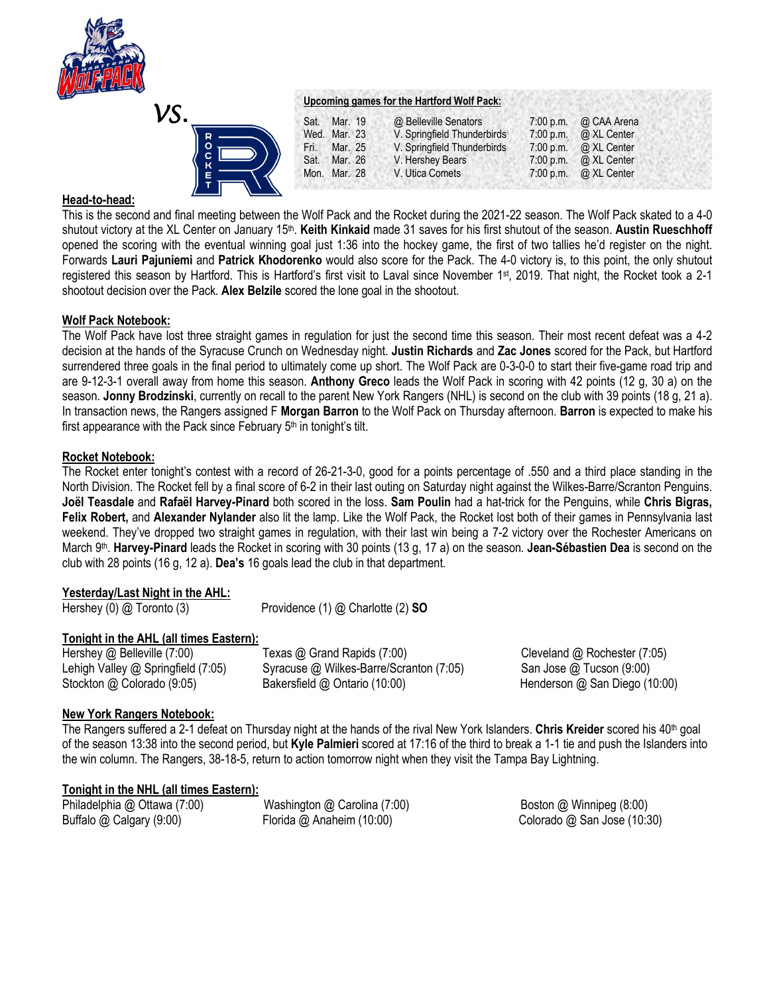

| VS.<br>$\bullet$ |              |  |
|------------------|--------------|--|
|                  | <b>MXOOD</b> |  |

|      |              | Upcoming games for the Hartford Wolf Pack: |           |             |  |
|------|--------------|--------------------------------------------|-----------|-------------|--|
| Sat. | Mar. 19      | @ Belleville Senators                      | 7:00 p.m. | @ CAA Arena |  |
|      | Wed. Mar. 23 | V. Springfield Thunderbirds                | 7:00 p.m. | @ XL Center |  |
|      | Fri. Mar. 25 | V. Springfield Thunderbirds                | 7:00 p.m. | @ XL Center |  |
|      | Sat. Mar. 26 | V. Hershey Bears                           | 7:00 p.m. | @ XL Center |  |
|      | Mon. Mar. 28 | V. Utica Comets                            | 7:00 p.m. | @ XL Center |  |

## **Head-to-head:**

This is the second and final meeting between the Wolf Pack and the Rocket during the 2021-22 season. The Wolf Pack skated to a 4-0 shutout victory at the XL Center on January 15<sup>th</sup>. **Keith Kinkaid** made 31 saves for his first shutout of the season. Austin Rueschhoff opened the scoring with the eventual winning goal just 1:36 into the hockey game, the first of two tallies he'd register on the night. Forwards **Lauri Pajuniemi** and **Patrick Khodorenko** would also score for the Pack. The 4-0 victory is, to this point, the only shutout registered this season by Hartford. This is Hartford's first visit to Laval since November 1st, 2019. That night, the Rocket took a 2-1 shootout decision over the Pack. **Alex Belzile** scored the lone goal in the shootout.

## **Wolf Pack Notebook:**

The Wolf Pack have lost three straight games in regulation for just the second time this season. Their most recent defeat was a 4-2 decision at the hands of the Syracuse Crunch on Wednesday night. **Justin Richards** and **Zac Jones** scored for the Pack, but Hartford surrendered three goals in the final period to ultimately come up short. The Wolf Pack are 0-3-0-0 to start their five-game road trip and are 9-12-3-1 overall away from home this season. **Anthony Greco** leads the Wolf Pack in scoring with 42 points (12 g, 30 a) on the season. **Jonny Brodzinski**, currently on recall to the parent New York Rangers (NHL) is second on the club with 39 points (18 g, 21 a). In transaction news, the Rangers assigned F **Morgan Barron** to the Wolf Pack on Thursday afternoon. **Barron** is expected to make his first appearance with the Pack since February  $5<sup>th</sup>$  in tonight's tilt.

## **Rocket Notebook:**

The Rocket enter tonight's contest with a record of 26-21-3-0, good for a points percentage of .550 and a third place standing in the North Division. The Rocket fell by a final score of 6-2 in their last outing on Saturday night against the Wilkes-Barre/Scranton Penguins. **Joël Teasdale** and **Rafaël Harvey-Pinard** both scored in the loss. **Sam Poulin** had a hat-trick for the Penguins, while **Chris Bigras, Felix Robert,** and **Alexander Nylander** also lit the lamp. Like the Wolf Pack, the Rocket lost both of their games in Pennsylvania last weekend. They've dropped two straight games in regulation, with their last win being a 7-2 victory over the Rochester Americans on March 9<sup>th</sup>. Harvey-Pinard leads the Rocket in scoring with 30 points (13 g, 17 a) on the season. Jean-Sébastien Dea is second on the club with 28 points (16 g, 12 a). **Dea's** 16 goals lead the club in that department.

# **Yesterday/Last Night in the AHL:**

Hershey (0) @ Toronto (3) Providence (1) @ Charlotte (2) **SO**

# **Tonight in the AHL (all times Eastern):**

Hershey @ Belleville (7:00) Texas @ Grand Rapids (7:00) Cleveland @ Rochester (7:05) Lehigh Valley @ Springfield (7:05) Syracuse @ Wilkes-Barre/Scranton (7:05) San Jose @ Tucson (9:00) Stockton @ Colorado (9:05) Bakersfield @ Ontario (10:00) Henderson @ San Diego (10:00)

# **New York Rangers Notebook:**

The Rangers suffered a 2-1 defeat on Thursday night at the hands of the rival New York Islanders. **Chris Kreider** scored his 40th goal of the season 13:38 into the second period, but **Kyle Palmieri** scored at 17:16 of the third to break a 1-1 tie and push the Islanders into the win column. The Rangers, 38-18-5, return to action tomorrow night when they visit the Tampa Bay Lightning.

#### **Tonight in the NHL (all times Eastern):**

Philadelphia @ Ottawa (7:00) *Washington @ Carolina (7:00)* Boston @ Winnipeg (8:00) Buffalo @ Calgary (9:00) Florida @ Anaheim (10:00) Colorado @ San Jose (10:30)